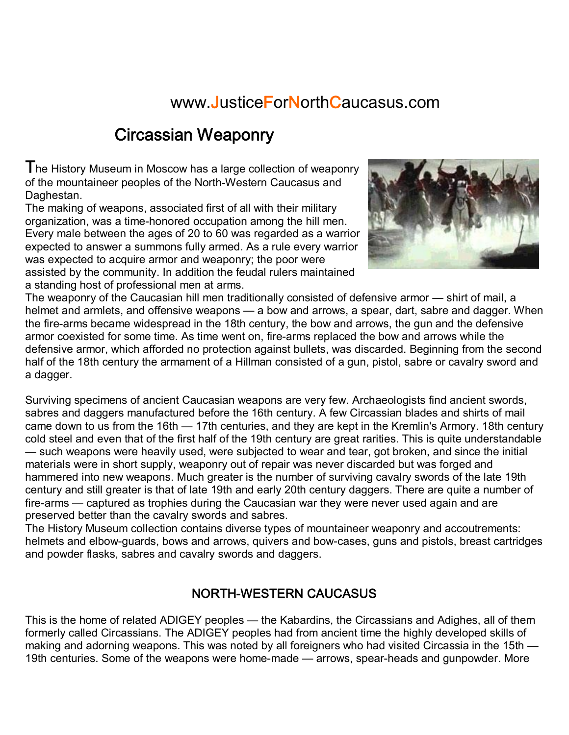#### www.JusticeForNorthCaucasus.com

### Circassian Weaponry

The History Museum in Moscow has a large collection of weaponry of the mountaineer peoples of the North-Western Caucasus and Daghestan.

The making of weapons, associated first of all with their military organization, was a time-honored occupation among the hill men. Every male between the ages of 20 to 60 was regarded as a warrior expected to answer a summons fully armed. As a rule every warrior was expected to acquire armor and weaponry; the poor were assisted by the community. In addition the feudal rulers maintained a standing host of professional men at arms.



The weaponry of the Caucasian hill men traditionally consisted of defensive armor — shirt of mail, a helmet and armlets, and offensive weapons — a bow and arrows, a spear, dart, sabre and dagger. When the fire-arms became widespread in the 18th century, the bow and arrows, the gun and the defensive armor coexisted for some time. As time went on, fire-arms replaced the bow and arrows while the defensive armor, which afforded no protection against bullets, was discarded. Beginning from the second half of the 18th century the armament of a Hillman consisted of a gun, pistol, sabre or cavalry sword and a dagger.

Surviving specimens of ancient Caucasian weapons are very few. Archaeologists find ancient swords, sabres and daggers manufactured before the 16th century. A few Circassian blades and shirts of mail came down to us from the 16th — 17th centuries, and they are kept in the Kremlin's Armory. 18th century cold steel and even that of the first half of the 19th century are great rarities. This is quite understandable — such weapons were heavily used, were subjected to wear and tear, got broken, and since the initial materials were in short supply, weaponry out of repair was never discarded but was forged and hammered into new weapons. Much greater is the number of surviving cavalry swords of the late 19th century and still greater is that of late 19th and early 20th century daggers. There are quite a number of fire-arms — captured as trophies during the Caucasian war they were never used again and are preserved better than the cavalry swords and sabres.

The History Museum collection contains diverse types of mountaineer weaponry and accoutrements: helmets and elbow-guards, bows and arrows, quivers and bow-cases, guns and pistols, breast cartridges and powder flasks, sabres and cavalry swords and daggers.

#### NORTH-WESTERN CAUCASUS

This is the home of related ADIGEY peoples — the Kabardins, the Circassians and Adighes, all of them formerly called Circassians. The ADIGEY peoples had from ancient time the highly developed skills of making and adorning weapons. This was noted by all foreigners who had visited Circassia in the 15th — 19th centuries. Some of the weapons were home-made — arrows, spear-heads and gunpowder. More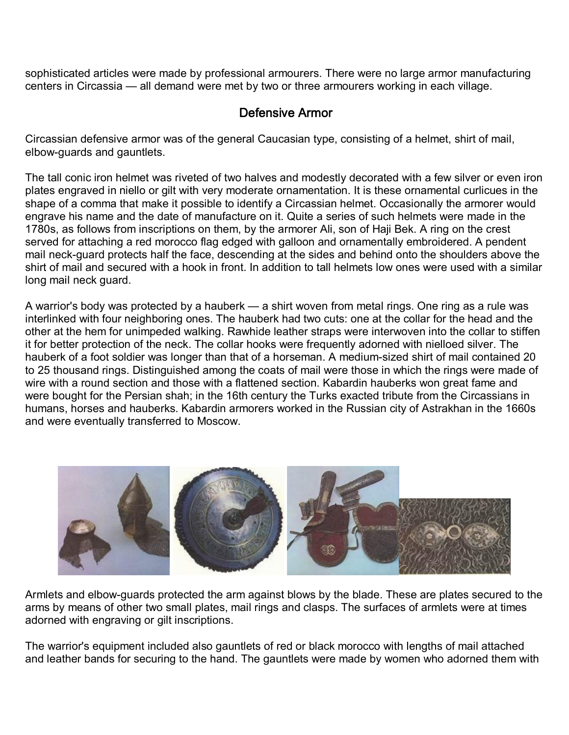sophisticated articles were made by professional armourers. There were no large armor manufacturing centers in Circassia — all demand were met by two or three armourers working in each village.

#### Defensive Armor

Circassian defensive armor was of the general Caucasian type, consisting of a helmet, shirt of mail, elbow-guards and gauntlets.

The tall conic iron helmet was riveted of two halves and modestly decorated with a few silver or even iron plates engraved in niello or gilt with very moderate ornamentation. It is these ornamental curlicues in the shape of a comma that make it possible to identify a Circassian helmet. Occasionally the armorer would engrave his name and the date of manufacture on it. Quite a series of such helmets were made in the 1780s, as follows from inscriptions on them, by the armorer Ali, son of Haji Bek. A ring on the crest served for attaching a red morocco flag edged with galloon and ornamentally embroidered. A pendent mail neck-guard protects half the face, descending at the sides and behind onto the shoulders above the shirt of mail and secured with a hook in front. In addition to tall helmets low ones were used with a similar long mail neck guard.

A warrior's body was protected by a hauberk — a shirt woven from metal rings. One ring as a rule was interlinked with four neighboring ones. The hauberk had two cuts: one at the collar for the head and the other at the hem for unimpeded walking. Rawhide leather straps were interwoven into the collar to stiffen it for better protection of the neck. The collar hooks were frequently adorned with nielloed silver. The hauberk of a foot soldier was longer than that of a horseman. A medium-sized shirt of mail contained 20 to 25 thousand rings. Distinguished among the coats of mail were those in which the rings were made of wire with a round section and those with a flattened section. Kabardin hauberks won great fame and were bought for the Persian shah; in the 16th century the Turks exacted tribute from the Circassians in humans, horses and hauberks. Kabardin armorers worked in the Russian city of Astrakhan in the 1660s and were eventually transferred to Moscow.



Armlets and elbow-guards protected the arm against blows by the blade. These are plates secured to the arms by means of other two small plates, mail rings and clasps. The surfaces of armlets were at times adorned with engraving or gilt inscriptions.

The warrior's equipment included also gauntlets of red or black morocco with lengths of mail attached and leather bands for securing to the hand. The gauntlets were made by women who adorned them with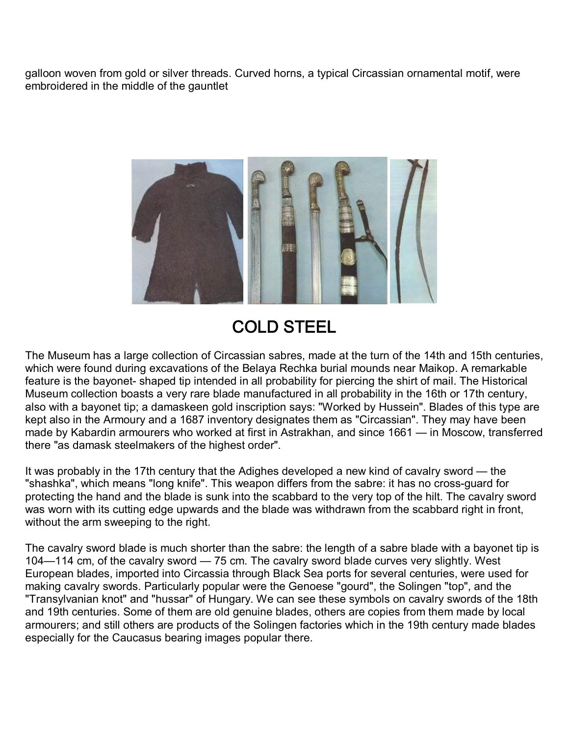galloon woven from gold or silver threads. Curved horns, a typical Circassian ornamental motif, were embroidered in the middle of the gauntlet



## COLD STEEL

The Museum has a large collection of Circassian sabres, made at the turn of the 14th and 15th centuries, which were found during excavations of the Belaya Rechka burial mounds near Maikop. A remarkable feature is the bayonet- shaped tip intended in all probability for piercing the shirt of mail. The Historical Museum collection boasts a very rare blade manufactured in all probability in the 16th or 17th century, also with a bayonet tip; a damaskeen gold inscription says: "Worked by Hussein". Blades of this type are kept also in the Armoury and a 1687 inventory designates them as "Circassian". They may have been made by Kabardin armourers who worked at first in Astrakhan, and since 1661 — in Moscow, transferred there "as damask steelmakers of the highest order".

It was probably in the 17th century that the Adighes developed a new kind of cavalry sword — the "shashka", which means "long knife". This weapon differs from the sabre: it has no cross-guard for protecting the hand and the blade is sunk into the scabbard to the very top of the hilt. The cavalry sword was worn with its cutting edge upwards and the blade was withdrawn from the scabbard right in front, without the arm sweeping to the right.

The cavalry sword blade is much shorter than the sabre: the length of a sabre blade with a bayonet tip is 104—114 cm, of the cavalry sword — 75 cm. The cavalry sword blade curves very slightly. West European blades, imported into Circassia through Black Sea ports for several centuries, were used for making cavalry swords. Particularly popular were the Genoese "gourd", the Solingen "top", and the "Transylvanian knot" and "hussar" of Hungary. We can see these symbols on cavalry swords of the 18th and 19th centuries. Some of them are old genuine blades, others are copies from them made by local armourers; and still others are products of the Solingen factories which in the 19th century made blades especially for the Caucasus bearing images popular there.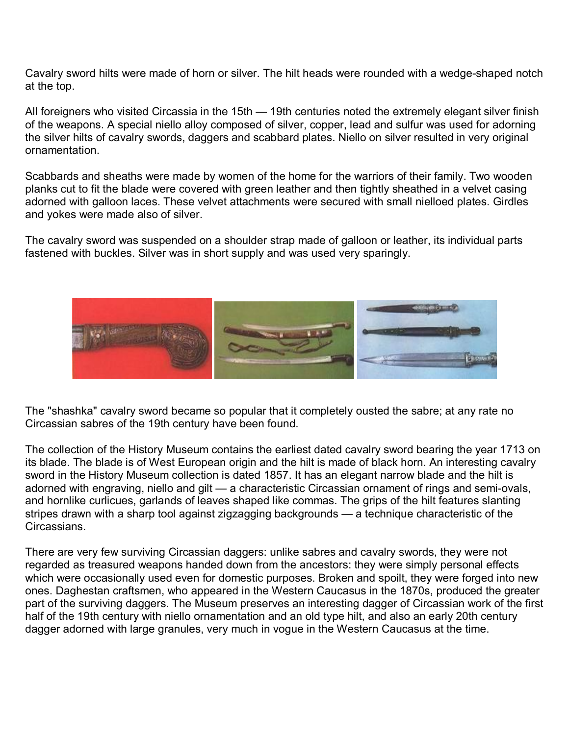Cavalry sword hilts were made of horn or silver. The hilt heads were rounded with a wedge-shaped notch at the top.

All foreigners who visited Circassia in the 15th — 19th centuries noted the extremely elegant silver finish of the weapons. A special niello alloy composed of silver, copper, lead and sulfur was used for adorning the silver hilts of cavalry swords, daggers and scabbard plates. Niello on silver resulted in very original ornamentation.

Scabbards and sheaths were made by women of the home for the warriors of their family. Two wooden planks cut to fit the blade were covered with green leather and then tightly sheathed in a velvet casing adorned with galloon laces. These velvet attachments were secured with small nielloed plates. Girdles and yokes were made also of silver.

The cavalry sword was suspended on a shoulder strap made of galloon or leather, its individual parts fastened with buckles. Silver was in short supply and was used very sparingly.



The "shashka" cavalry sword became so popular that it completely ousted the sabre; at any rate no Circassian sabres of the 19th century have been found.

The collection of the History Museum contains the earliest dated cavalry sword bearing the year 1713 on its blade. The blade is of West European origin and the hilt is made of black horn. An interesting cavalry sword in the History Museum collection is dated 1857. It has an elegant narrow blade and the hilt is adorned with engraving, niello and gilt — a characteristic Circassian ornament of rings and semi-ovals, and hornlike curlicues, garlands of leaves shaped like commas. The grips of the hilt features slanting stripes drawn with a sharp tool against zigzagging backgrounds — a technique characteristic of the Circassians.

There are very few surviving Circassian daggers: unlike sabres and cavalry swords, they were not regarded as treasured weapons handed down from the ancestors: they were simply personal effects which were occasionally used even for domestic purposes. Broken and spoilt, they were forged into new ones. Daghestan craftsmen, who appeared in the Western Caucasus in the 1870s, produced the greater part of the surviving daggers. The Museum preserves an interesting dagger of Circassian work of the first half of the 19th century with niello ornamentation and an old type hilt, and also an early 20th century dagger adorned with large granules, very much in vogue in the Western Caucasus at the time.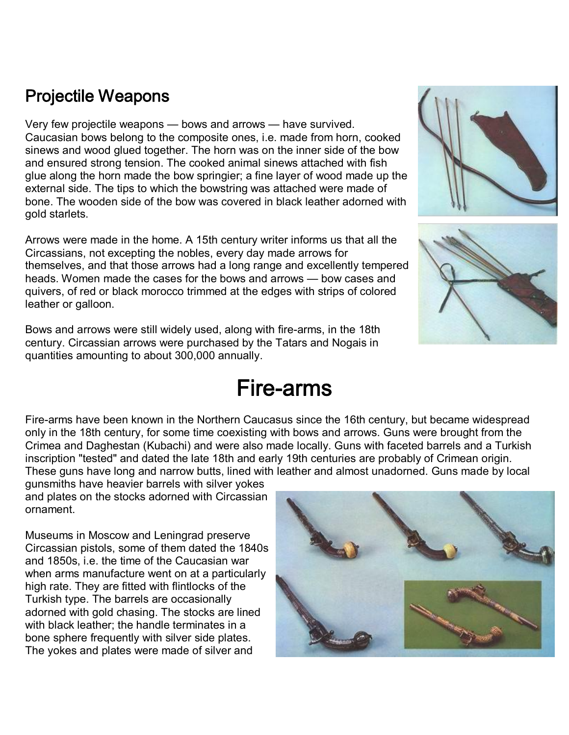### Projectile Weapons

Very few projectile weapons — bows and arrows — have survived. Caucasian bows belong to the composite ones, i.e. made from horn, cooked sinews and wood glued together. The horn was on the inner side of the bow and ensured strong tension. The cooked animal sinews attached with fish glue along the horn made the bow springier; a fine layer of wood made up the external side. The tips to which the bowstring was attached were made of bone. The wooden side of the bow was covered in black leather adorned with gold starlets.

Arrows were made in the home. A 15th century writer informs us that all the Circassians, not excepting the nobles, every day made arrows for themselves, and that those arrows had a long range and excellently tempered heads. Women made the cases for the bows and arrows — bow cases and quivers, of red or black morocco trimmed at the edges with strips of colored leather or galloon.

Bows and arrows were still widely used, along with fire-arms, in the 18th century. Circassian arrows were purchased by the Tatars and Nogais in quantities amounting to about 300,000 annually.

# **Fire-arms**

Fire-arms have been known in the Northern Caucasus since the 16th century, but became widespread only in the 18th century, for some time coexisting with bows and arrows. Guns were brought from the Crimea and Daghestan (Kubachi) and were also made locally. Guns with faceted barrels and a Turkish inscription "tested" and dated the late 18th and early 19th centuries are probably of Crimean origin. These guns have long and narrow butts, lined with leather and almost unadorned. Guns made by local

gunsmiths have heavier barrels with silver yokes and plates on the stocks adorned with Circassian ornament.

Museums in Moscow and Leningrad preserve Circassian pistols, some of them dated the 1840s and 1850s, i.e. the time of the Caucasian war when arms manufacture went on at a particularly high rate. They are fitted with flintlocks of the Turkish type. The barrels are occasionally adorned with gold chasing. The stocks are lined with black leather; the handle terminates in a bone sphere frequently with silver side plates. The yokes and plates were made of silver and